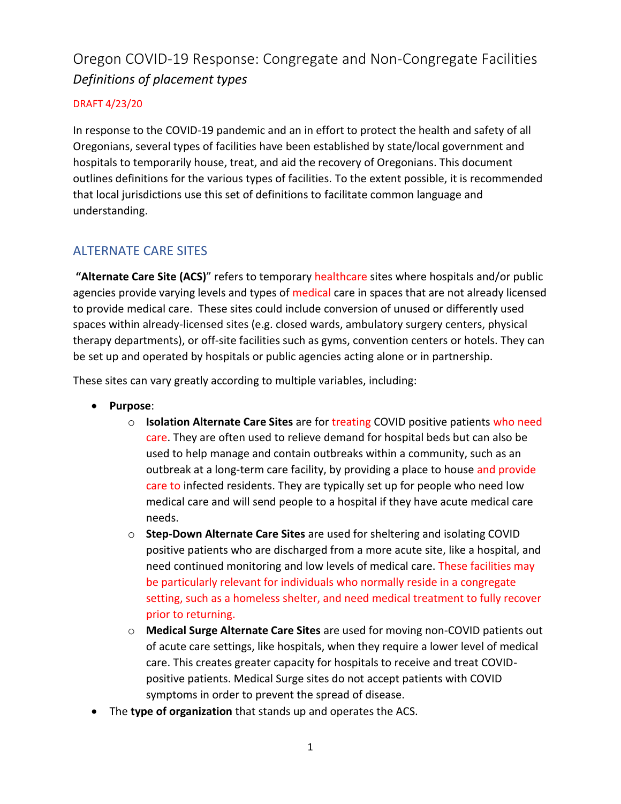#### DRAFT 4/23/20

In response to the COVID-19 pandemic and an in effort to protect the health and safety of all Oregonians, several types of facilities have been established by state/local government and hospitals to temporarily house, treat, and aid the recovery of Oregonians. This document outlines definitions for the various types of facilities. To the extent possible, it is recommended that local jurisdictions use this set of definitions to facilitate common language and understanding.

### ALTERNATE CARE SITES

**"Alternate Care Site (ACS)**" refers to temporary healthcare sites where hospitals and/or public agencies provide varying levels and types of medical care in spaces that are not already licensed to provide medical care. These sites could include conversion of unused or differently used spaces within already-licensed sites (e.g. closed wards, ambulatory surgery centers, physical therapy departments), or off-site facilities such as gyms, convention centers or hotels. They can be set up and operated by hospitals or public agencies acting alone or in partnership.

These sites can vary greatly according to multiple variables, including:

- **Purpose**:
	- o **Isolation Alternate Care Sites** are for treating COVID positive patients who need care. They are often used to relieve demand for hospital beds but can also be used to help manage and contain outbreaks within a community, such as an outbreak at a long-term care facility, by providing a place to house and provide care to infected residents. They are typically set up for people who need low medical care and will send people to a hospital if they have acute medical care needs.
	- o **Step-Down Alternate Care Sites** are used for sheltering and isolating COVID positive patients who are discharged from a more acute site, like a hospital, and need continued monitoring and low levels of medical care. These facilities may be particularly relevant for individuals who normally reside in a congregate setting, such as a homeless shelter, and need medical treatment to fully recover prior to returning.
	- o **Medical Surge Alternate Care Sites** are used for moving non-COVID patients out of acute care settings, like hospitals, when they require a lower level of medical care. This creates greater capacity for hospitals to receive and treat COVIDpositive patients. Medical Surge sites do not accept patients with COVID symptoms in order to prevent the spread of disease.
- The **type of organization** that stands up and operates the ACS.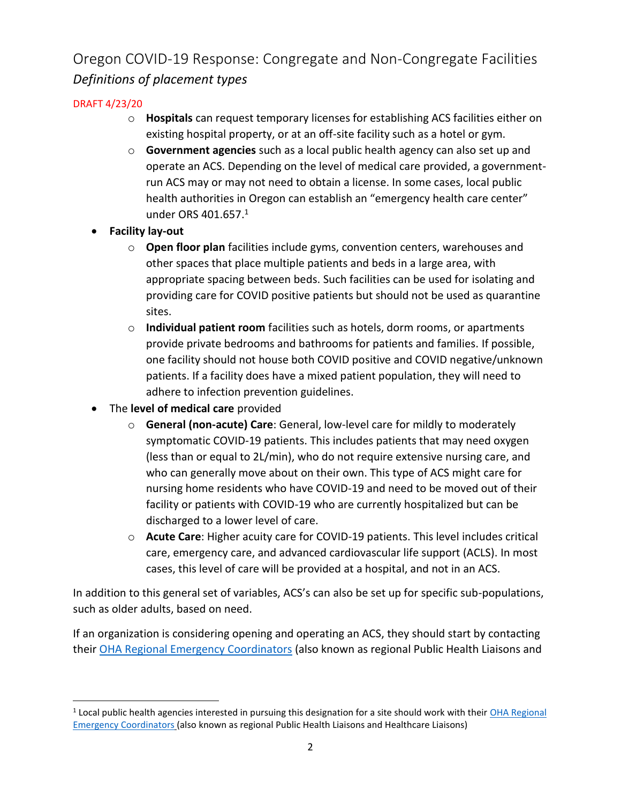### DRAFT 4/23/20

 $\overline{\phantom{a}}$ 

- o **Hospitals** can request temporary licenses for establishing ACS facilities either on existing hospital property, or at an off-site facility such as a hotel or gym.
- o **Government agencies** such as a local public health agency can also set up and operate an ACS. Depending on the level of medical care provided, a governmentrun ACS may or may not need to obtain a license. In some cases, local public health authorities in Oregon can establish an "emergency health care center" under ORS 401.657. 1
- **Facility lay-out**
	- o **Open floor plan** facilities include gyms, convention centers, warehouses and other spaces that place multiple patients and beds in a large area, with appropriate spacing between beds. Such facilities can be used for isolating and providing care for COVID positive patients but should not be used as quarantine sites.
	- o **Individual patient room** facilities such as hotels, dorm rooms, or apartments provide private bedrooms and bathrooms for patients and families. If possible, one facility should not house both COVID positive and COVID negative/unknown patients. If a facility does have a mixed patient population, they will need to adhere to infection prevention guidelines.
- The **level of medical care** provided
	- o **General (non-acute) Care**: General, low‐level care for mildly to moderately symptomatic COVID‐19 patients. This includes patients that may need oxygen (less than or equal to 2L/min), who do not require extensive nursing care, and who can generally move about on their own. This type of ACS might care for nursing home residents who have COVID-19 and need to be moved out of their facility or patients with COVID-19 who are currently hospitalized but can be discharged to a lower level of care.
	- o **Acute Care**: Higher acuity care for COVID‐19 patients. This level includes critical care, emergency care, and advanced cardiovascular life support (ACLS). In most cases, this level of care will be provided at a hospital, and not in an ACS.

In addition to this general set of variables, ACS's can also be set up for specific sub-populations, such as older adults, based on need.

If an organization is considering opening and operating an ACS, they should start by contacting their [OHA Regional Emergency Coordinators](https://www.oregon.gov/oha/PH/PREPAREDNESS/Pages/Program-Information.aspx) (also known as regional Public Health Liaisons and

<sup>&</sup>lt;sup>1</sup> Local public health agencies interested in pursuing this designation for a site should work with their *OHA Regional* [Emergency Coordinators](https://www.oregon.gov/oha/PH/PREPAREDNESS/Pages/Program-Information.aspx) (also known as regional Public Health Liaisons and Healthcare Liaisons)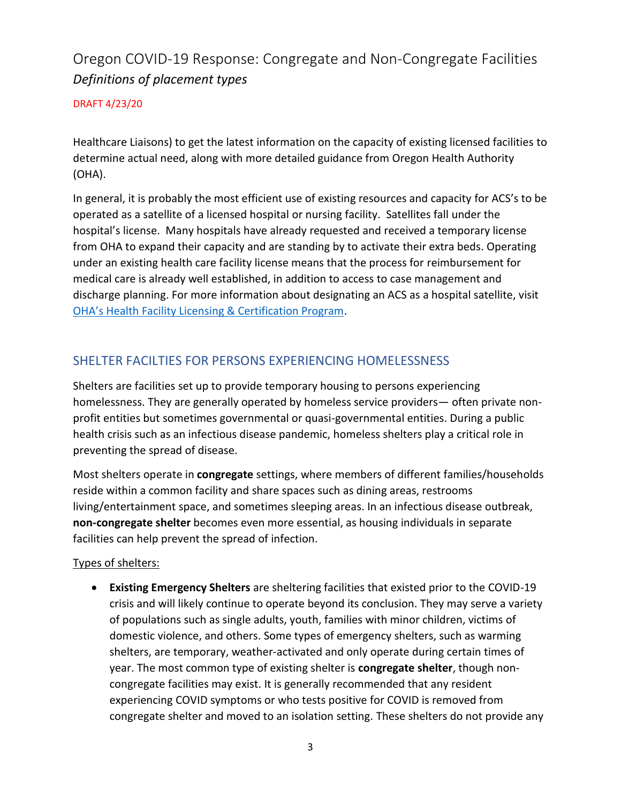DRAFT 4/23/20

Healthcare Liaisons) to get the latest information on the capacity of existing licensed facilities to determine actual need, along with more detailed guidance from Oregon Health Authority (OHA).

In general, it is probably the most efficient use of existing resources and capacity for ACS's to be operated as a satellite of a licensed hospital or nursing facility. Satellites fall under the hospital's license. Many hospitals have already requested and received a temporary license from OHA to expand their capacity and are standing by to activate their extra beds. Operating under an existing health care facility license means that the process for reimbursement for medical care is already well established, in addition to access to case management and discharge planning. For more information about designating an ACS as a hospital satellite, visit [OHA's Health Facility Licensing & Certification Program](https://www.oregon.gov/oha/PH/ProviderPartnerResources/HealthcareProvidersFacilities/HealthcareHealthCareRegulationQualityImprovement/Pages/forms.aspx).

### SHELTER FACILTIES FOR PERSONS EXPERIENCING HOMELESSNESS

Shelters are facilities set up to provide temporary housing to persons experiencing homelessness. They are generally operated by homeless service providers— often private nonprofit entities but sometimes governmental or quasi-governmental entities. During a public health crisis such as an infectious disease pandemic, homeless shelters play a critical role in preventing the spread of disease.

Most shelters operate in **congregate** settings, where members of different families/households reside within a common facility and share spaces such as dining areas, restrooms living/entertainment space, and sometimes sleeping areas. In an infectious disease outbreak, **non-congregate shelter** becomes even more essential, as housing individuals in separate facilities can help prevent the spread of infection.

### Types of shelters:

 **Existing Emergency Shelters** are sheltering facilities that existed prior to the COVID-19 crisis and will likely continue to operate beyond its conclusion. They may serve a variety of populations such as single adults, youth, families with minor children, victims of domestic violence, and others. Some types of emergency shelters, such as warming shelters, are temporary, weather-activated and only operate during certain times of year. The most common type of existing shelter is **congregate shelter**, though noncongregate facilities may exist. It is generally recommended that any resident experiencing COVID symptoms or who tests positive for COVID is removed from congregate shelter and moved to an isolation setting. These shelters do not provide any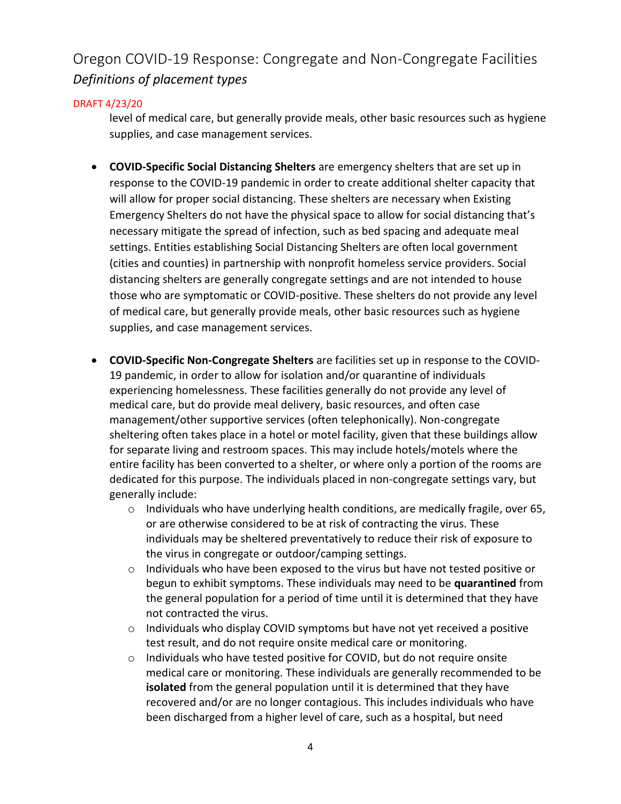#### DRAFT 4/23/20

level of medical care, but generally provide meals, other basic resources such as hygiene supplies, and case management services.

- **COVID-Specific Social Distancing Shelters** are emergency shelters that are set up in response to the COVID-19 pandemic in order to create additional shelter capacity that will allow for proper social distancing. These shelters are necessary when Existing Emergency Shelters do not have the physical space to allow for social distancing that's necessary mitigate the spread of infection, such as bed spacing and adequate meal settings. Entities establishing Social Distancing Shelters are often local government (cities and counties) in partnership with nonprofit homeless service providers. Social distancing shelters are generally congregate settings and are not intended to house those who are symptomatic or COVID-positive. These shelters do not provide any level of medical care, but generally provide meals, other basic resources such as hygiene supplies, and case management services.
- **COVID-Specific Non-Congregate Shelters** are facilities set up in response to the COVID-19 pandemic, in order to allow for isolation and/or quarantine of individuals experiencing homelessness. These facilities generally do not provide any level of medical care, but do provide meal delivery, basic resources, and often case management/other supportive services (often telephonically). Non-congregate sheltering often takes place in a hotel or motel facility, given that these buildings allow for separate living and restroom spaces. This may include hotels/motels where the entire facility has been converted to a shelter, or where only a portion of the rooms are dedicated for this purpose. The individuals placed in non-congregate settings vary, but generally include:
	- $\circ$  Individuals who have underlying health conditions, are medically fragile, over 65, or are otherwise considered to be at risk of contracting the virus. These individuals may be sheltered preventatively to reduce their risk of exposure to the virus in congregate or outdoor/camping settings.
	- o Individuals who have been exposed to the virus but have not tested positive or begun to exhibit symptoms. These individuals may need to be **quarantined** from the general population for a period of time until it is determined that they have not contracted the virus.
	- o Individuals who display COVID symptoms but have not yet received a positive test result, and do not require onsite medical care or monitoring.
	- o Individuals who have tested positive for COVID, but do not require onsite medical care or monitoring. These individuals are generally recommended to be **isolated** from the general population until it is determined that they have recovered and/or are no longer contagious. This includes individuals who have been discharged from a higher level of care, such as a hospital, but need